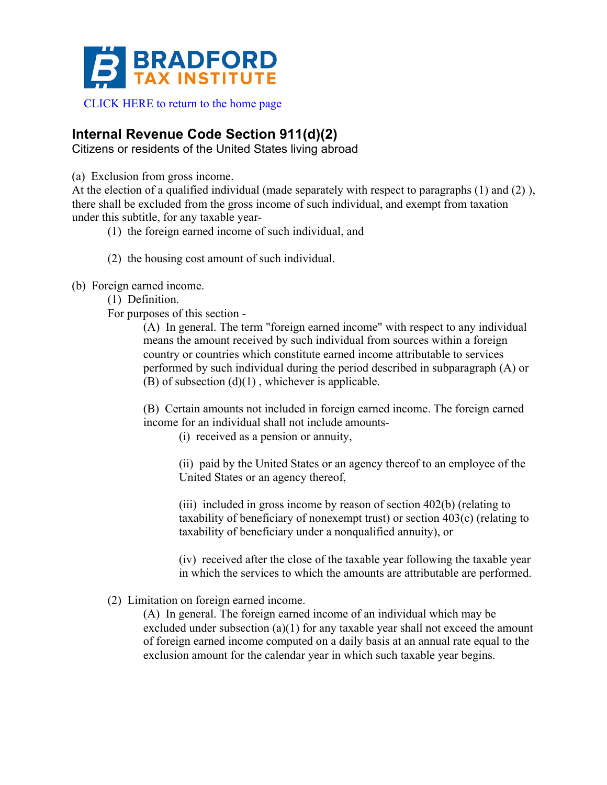

# **Internal Revenue Code Section 911(d)(2)**

Citizens or residents of the United States living abroad

(a) Exclusion from gross income.

At the election of a qualified individual (made separately with respect to paragraphs (1) and (2) ), there shall be excluded from the gross income of such individual, and exempt from taxation under this subtitle, for any taxable year-

(1) the foreign earned income of such individual, and

- (2) the housing cost amount of such individual.
- (b) Foreign earned income.
	- (1) Definition.

For purposes of this section -

(A) In general. The term "foreign earned income" with respect to any individual means the amount received by such individual from sources within a foreign country or countries which constitute earned income attributable to services performed by such individual during the period described in subparagraph (A) or  $(B)$  of subsection  $(d)(1)$ , whichever is applicable.

(B) Certain amounts not included in foreign earned income. The foreign earned income for an individual shall not include amounts-

(i) received as a pension or annuity,

(ii) paid by the United States or an agency thereof to an employee of the United States or an agency thereof,

(iii) included in gross income by reason of section 402(b) (relating to taxability of beneficiary of nonexempt trust) or section 403(c) (relating to taxability of beneficiary under a nonqualified annuity), or

(iv) received after the close of the taxable year following the taxable year in which the services to which the amounts are attributable are performed.

# (2) Limitation on foreign earned income.

(A) In general. The foreign earned income of an individual which may be excluded under subsection (a)(1) for any taxable year shall not exceed the amount of foreign earned income computed on a daily basis at an annual rate equal to the exclusion amount for the calendar year in which such taxable year begins.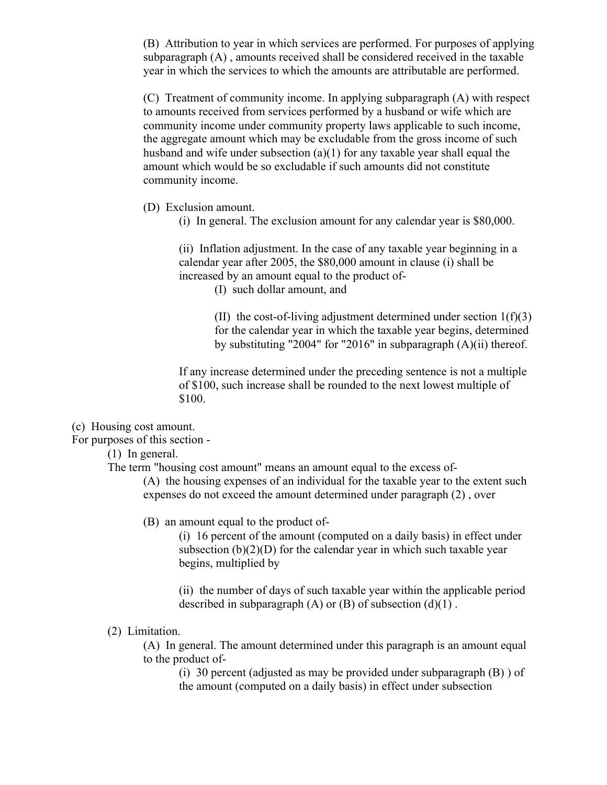(B) Attribution to year in which services are performed. For purposes of applying subparagraph (A) , amounts received shall be considered received in the taxable year in which the services to which the amounts are attributable are performed.

(C) Treatment of community income. In applying subparagraph (A) with respect to amounts received from services performed by a husband or wife which are community income under community property laws applicable to such income, the aggregate amount which may be excludable from the gross income of such husband and wife under subsection (a)(1) for any taxable year shall equal the amount which would be so excludable if such amounts did not constitute community income.

(D) Exclusion amount.

(i) In general. The exclusion amount for any calendar year is \$80,000.

(ii) Inflation adjustment. In the case of any taxable year beginning in a calendar year after 2005, the \$80,000 amount in clause (i) shall be increased by an amount equal to the product of-

(I) such dollar amount, and

(II) the cost-of-living adjustment determined under section  $1(f)(3)$ for the calendar year in which the taxable year begins, determined by substituting "2004" for "2016" in subparagraph (A)(ii) thereof.

If any increase determined under the preceding sentence is not a multiple of \$100, such increase shall be rounded to the next lowest multiple of \$100.

(c) Housing cost amount.

For purposes of this section -

(1) In general.

The term "housing cost amount" means an amount equal to the excess of-

(A) the housing expenses of an individual for the taxable year to the extent such expenses do not exceed the amount determined under paragraph (2) , over

(B) an amount equal to the product of-

(i) 16 percent of the amount (computed on a daily basis) in effect under subsection  $(b)(2)(D)$  for the calendar year in which such taxable year begins, multiplied by

(ii) the number of days of such taxable year within the applicable period described in subparagraph  $(A)$  or  $(B)$  of subsection  $(d)(1)$ .

(2) Limitation.

(A) In general. The amount determined under this paragraph is an amount equal to the product of-

(i) 30 percent (adjusted as may be provided under subparagraph (B) ) of the amount (computed on a daily basis) in effect under subsection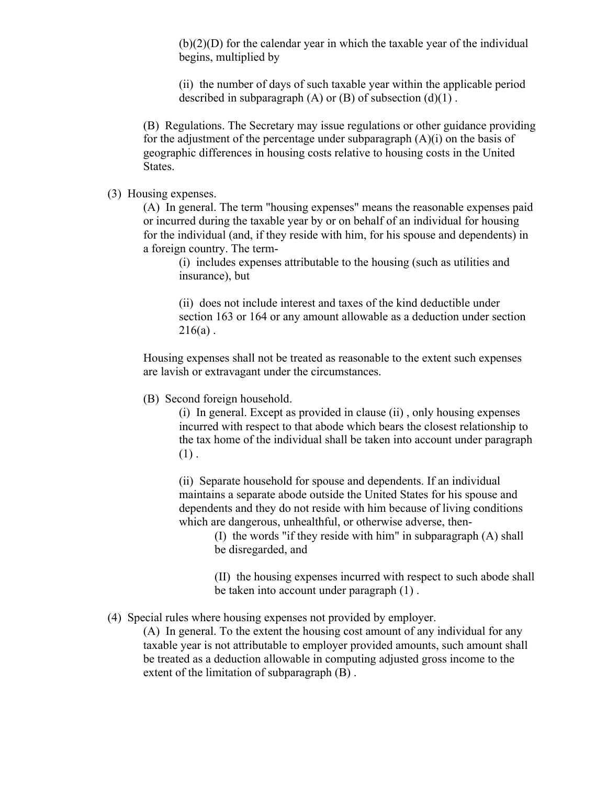$(b)(2)(D)$  for the calendar year in which the taxable year of the individual begins, multiplied by

(ii) the number of days of such taxable year within the applicable period described in subparagraph  $(A)$  or  $(B)$  of subsection  $(d)(1)$ .

(B) Regulations. The Secretary may issue regulations or other guidance providing for the adjustment of the percentage under subparagraph (A)(i) on the basis of geographic differences in housing costs relative to housing costs in the United States.

(3) Housing expenses.

(A) In general. The term "housing expenses" means the reasonable expenses paid or incurred during the taxable year by or on behalf of an individual for housing for the individual (and, if they reside with him, for his spouse and dependents) in a foreign country. The term-

(i) includes expenses attributable to the housing (such as utilities and insurance), but

(ii) does not include interest and taxes of the kind deductible under section 163 or 164 or any amount allowable as a deduction under section  $216(a)$ .

Housing expenses shall not be treated as reasonable to the extent such expenses are lavish or extravagant under the circumstances.

(B) Second foreign household.

(i) In general. Except as provided in clause (ii) , only housing expenses incurred with respect to that abode which bears the closest relationship to the tax home of the individual shall be taken into account under paragraph  $(1)$ .

(ii) Separate household for spouse and dependents. If an individual maintains a separate abode outside the United States for his spouse and dependents and they do not reside with him because of living conditions which are dangerous, unhealthful, or otherwise adverse, then-

> (I) the words "if they reside with him" in subparagraph (A) shall be disregarded, and

(II) the housing expenses incurred with respect to such abode shall be taken into account under paragraph (1) .

(4) Special rules where housing expenses not provided by employer.

(A) In general. To the extent the housing cost amount of any individual for any taxable year is not attributable to employer provided amounts, such amount shall be treated as a deduction allowable in computing adjusted gross income to the extent of the limitation of subparagraph (B) .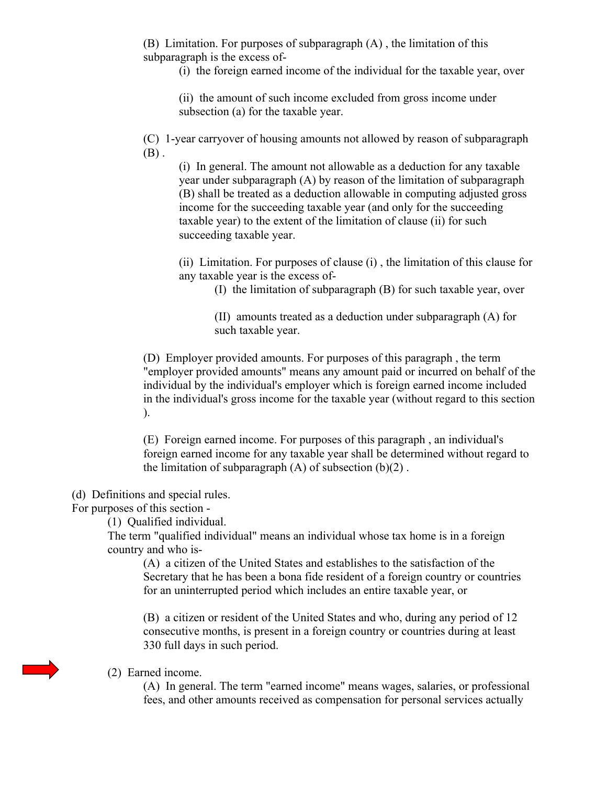(B) Limitation. For purposes of subparagraph (A) , the limitation of this subparagraph is the excess of-

(i) the foreign earned income of the individual for the taxable year, over

(ii) the amount of such income excluded from gross income under subsection (a) for the taxable year.

(C) 1-year carryover of housing amounts not allowed by reason of subparagraph  $(B)$ .

(i) In general. The amount not allowable as a deduction for any taxable year under subparagraph (A) by reason of the limitation of subparagraph (B) shall be treated as a deduction allowable in computing adjusted gross income for the succeeding taxable year (and only for the succeeding taxable year) to the extent of the limitation of clause (ii) for such succeeding taxable year.

(ii) Limitation. For purposes of clause (i) , the limitation of this clause for any taxable year is the excess of-

(I) the limitation of subparagraph (B) for such taxable year, over

(II) amounts treated as a deduction under subparagraph (A) for such taxable year.

(D) Employer provided amounts. For purposes of this paragraph , the term "employer provided amounts" means any amount paid or incurred on behalf of the individual by the individual's employer which is foreign earned income included in the individual's gross income for the taxable year (without regard to this section ).

(E) Foreign earned income. For purposes of this paragraph , an individual's foreign earned income for any taxable year shall be determined without regard to the limitation of subparagraph  $(A)$  of subsection  $(b)(2)$ .

(d) Definitions and special rules.

For purposes of this section -

(1) Qualified individual.

The term "qualified individual" means an individual whose tax home is in a foreign country and who is-

(A) a citizen of the United States and establishes to the satisfaction of the Secretary that he has been a bona fide resident of a foreign country or countries for an uninterrupted period which includes an entire taxable year, or

(B) a citizen or resident of the United States and who, during any period of 12 consecutive months, is present in a foreign country or countries during at least 330 full days in such period.

#### (2) Earned income.

(A) In general. The term "earned income" means wages, salaries, or professional fees, and other amounts received as compensation for personal services actually

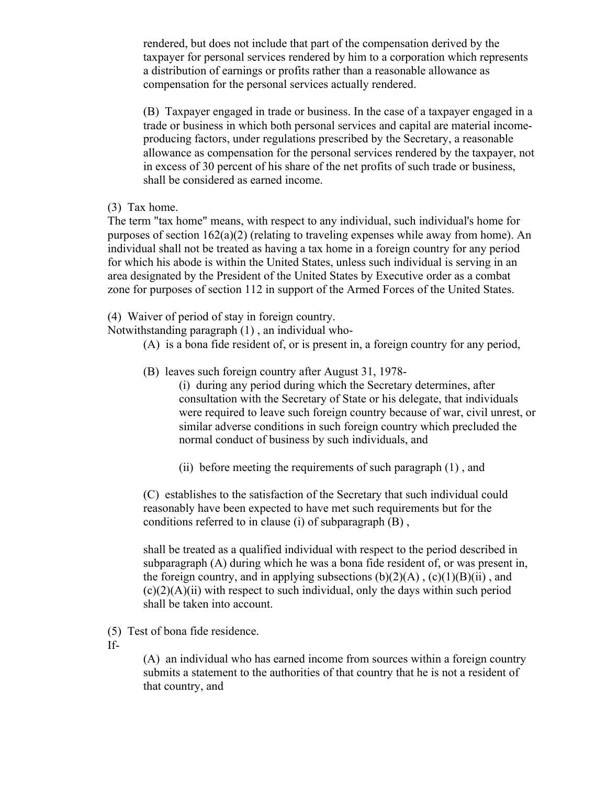rendered, but does not include that part of the compensation derived by the taxpayer for personal services rendered by him to a corporation which represents a distribution of earnings or profits rather than a reasonable allowance as compensation for the personal services actually rendered.

(B) Taxpayer engaged in trade or business. In the case of a taxpayer engaged in a trade or business in which both personal services and capital are material incomeproducing factors, under regulations prescribed by the Secretary, a reasonable allowance as compensation for the personal services rendered by the taxpayer, not in excess of 30 percent of his share of the net profits of such trade or business, shall be considered as earned income.

#### (3) Tax home.

The term "tax home" means, with respect to any individual, such individual's home for purposes of section 162(a)(2) (relating to traveling expenses while away from home). An individual shall not be treated as having a tax home in a foreign country for any period for which his abode is within the United States, unless such individual is serving in an area designated by the President of the United States by Executive order as a combat zone for purposes of section 112 in support of the Armed Forces of the United States.

(4) Waiver of period of stay in foreign country.

Notwithstanding paragraph (1) , an individual who-

- (A) is a bona fide resident of, or is present in, a foreign country for any period,
- (B) leaves such foreign country after August 31, 1978-
	- (i) during any period during which the Secretary determines, after consultation with the Secretary of State or his delegate, that individuals were required to leave such foreign country because of war, civil unrest, or similar adverse conditions in such foreign country which precluded the normal conduct of business by such individuals, and
	- (ii) before meeting the requirements of such paragraph (1) , and

(C) establishes to the satisfaction of the Secretary that such individual could reasonably have been expected to have met such requirements but for the conditions referred to in clause (i) of subparagraph (B) ,

shall be treated as a qualified individual with respect to the period described in subparagraph (A) during which he was a bona fide resident of, or was present in, the foreign country, and in applying subsections  $(b)(2)(A)$ ,  $(c)(1)(B)(ii)$ , and  $(c)(2)(A)(ii)$  with respect to such individual, only the days within such period shall be taken into account.

(5) Test of bona fide residence.

If-

(A) an individual who has earned income from sources within a foreign country submits a statement to the authorities of that country that he is not a resident of that country, and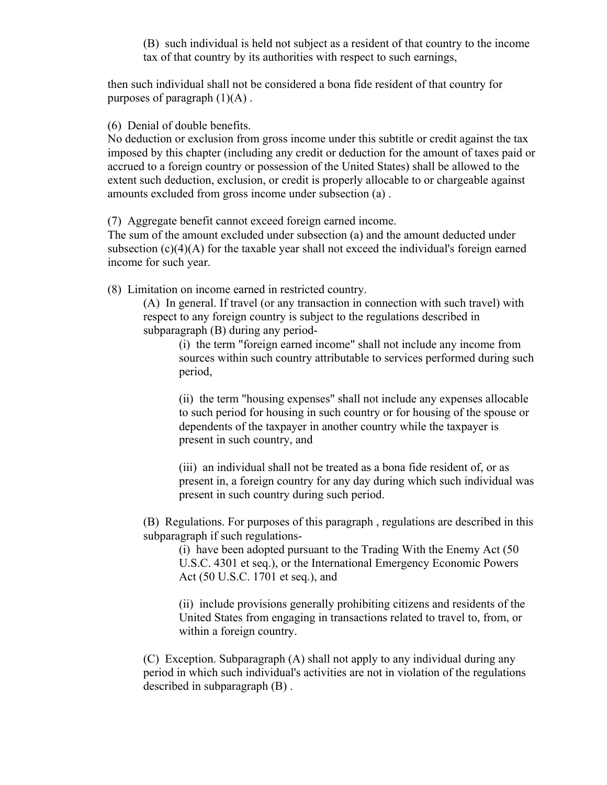(B) such individual is held not subject as a resident of that country to the income tax of that country by its authorities with respect to such earnings,

then such individual shall not be considered a bona fide resident of that country for purposes of paragraph  $(1)(A)$ .

(6) Denial of double benefits.

No deduction or exclusion from gross income under this subtitle or credit against the tax imposed by this chapter (including any credit or deduction for the amount of taxes paid or accrued to a foreign country or possession of the United States) shall be allowed to the extent such deduction, exclusion, or credit is properly allocable to or chargeable against amounts excluded from gross income under subsection (a) .

(7) Aggregate benefit cannot exceed foreign earned income.

The sum of the amount excluded under subsection (a) and the amount deducted under subsection  $(c)(4)(A)$  for the taxable year shall not exceed the individual's foreign earned income for such year.

(8) Limitation on income earned in restricted country.

(A) In general. If travel (or any transaction in connection with such travel) with respect to any foreign country is subject to the regulations described in subparagraph (B) during any period-

(i) the term "foreign earned income" shall not include any income from sources within such country attributable to services performed during such period,

(ii) the term "housing expenses" shall not include any expenses allocable to such period for housing in such country or for housing of the spouse or dependents of the taxpayer in another country while the taxpayer is present in such country, and

(iii) an individual shall not be treated as a bona fide resident of, or as present in, a foreign country for any day during which such individual was present in such country during such period.

(B) Regulations. For purposes of this paragraph , regulations are described in this subparagraph if such regulations-

(i) have been adopted pursuant to the Trading With the Enemy Act (50 U.S.C. 4301 et seq.), or the International Emergency Economic Powers Act (50 U.S.C. 1701 et seq.), and

(ii) include provisions generally prohibiting citizens and residents of the United States from engaging in transactions related to travel to, from, or within a foreign country.

(C) Exception. Subparagraph (A) shall not apply to any individual during any period in which such individual's activities are not in violation of the regulations described in subparagraph (B) .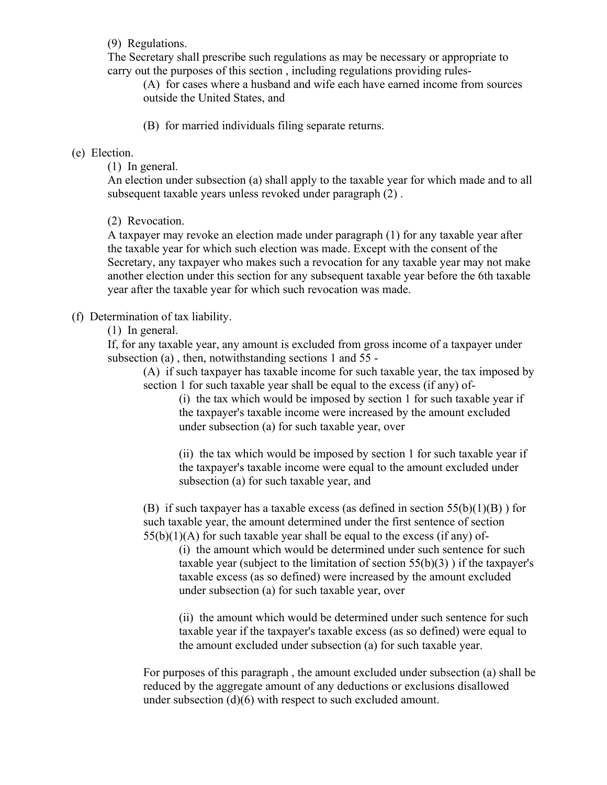(9) Regulations.

The Secretary shall prescribe such regulations as may be necessary or appropriate to carry out the purposes of this section , including regulations providing rules-

(A) for cases where a husband and wife each have earned income from sources outside the United States, and

(B) for married individuals filing separate returns.

# (e) Election.

(1) In general.

An election under subsection (a) shall apply to the taxable year for which made and to all subsequent taxable years unless revoked under paragraph (2) .

(2) Revocation.

A taxpayer may revoke an election made under paragraph (1) for any taxable year after the taxable year for which such election was made. Except with the consent of the Secretary, any taxpayer who makes such a revocation for any taxable year may not make another election under this section for any subsequent taxable year before the 6th taxable year after the taxable year for which such revocation was made.

# (f) Determination of tax liability.

(1) In general.

If, for any taxable year, any amount is excluded from gross income of a taxpayer under subsection (a) , then, notwithstanding sections 1 and 55 -

(A) if such taxpayer has taxable income for such taxable year, the tax imposed by section 1 for such taxable year shall be equal to the excess (if any) of-

(i) the tax which would be imposed by section 1 for such taxable year if the taxpayer's taxable income were increased by the amount excluded under subsection (a) for such taxable year, over

(ii) the tax which would be imposed by section 1 for such taxable year if the taxpayer's taxable income were equal to the amount excluded under subsection (a) for such taxable year, and

(B) if such taxpayer has a taxable excess (as defined in section  $55(b)(1)(B)$ ) for such taxable year, the amount determined under the first sentence of section  $55(b)(1)(A)$  for such taxable year shall be equal to the excess (if any) of-

(i) the amount which would be determined under such sentence for such taxable year (subject to the limitation of section  $55(b)(3)$ ) if the taxpayer's taxable excess (as so defined) were increased by the amount excluded under subsection (a) for such taxable year, over

(ii) the amount which would be determined under such sentence for such taxable year if the taxpayer's taxable excess (as so defined) were equal to the amount excluded under subsection (a) for such taxable year.

For purposes of this paragraph , the amount excluded under subsection (a) shall be reduced by the aggregate amount of any deductions or exclusions disallowed under subsection (d)(6) with respect to such excluded amount.